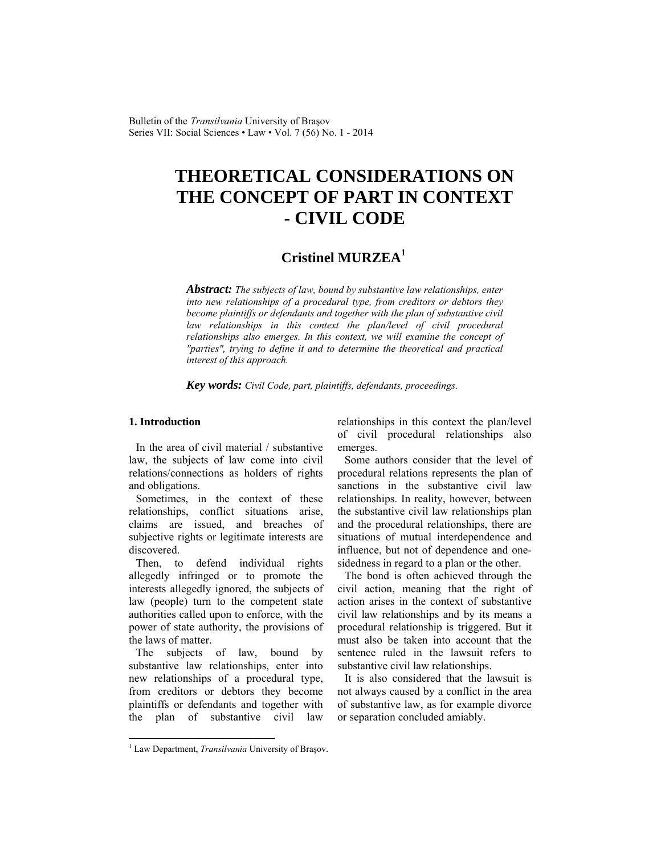Bulletin of the *Transilvania* University of Braşov Series VII: Social Sciences • Law • Vol. 7 (56) No. 1 - 2014

# **THEORETICAL CONSIDERATIONS ON THE CONCEPT OF PART IN CONTEXT - CIVIL CODE**

# **Cristinel MURZEA1**

*Abstract: The subjects of law, bound by substantive law relationships, enter into new relationships of a procedural type, from creditors or debtors they become plaintiffs or defendants and together with the plan of substantive civil*  law relationships in this context the plan/level of civil procedural *relationships also emerges. In this context, we will examine the concept of "parties", trying to define it and to determine the theoretical and practical interest of this approach.* 

*Key words: Civil Code, part, plaintiffs, defendants, proceedings.* 

### **1. Introduction**

 $\overline{a}$ 

In the area of civil material / substantive law, the subjects of law come into civil relations/connections as holders of rights and obligations.

Sometimes, in the context of these relationships, conflict situations arise, claims are issued, and breaches of subjective rights or legitimate interests are discovered.

Then, to defend individual rights allegedly infringed or to promote the interests allegedly ignored, the subjects of law (people) turn to the competent state authorities called upon to enforce, with the power of state authority, the provisions of the laws of matter.

The subjects of law, bound by substantive law relationships, enter into new relationships of a procedural type, from creditors or debtors they become plaintiffs or defendants and together with the plan of substantive civil law relationships in this context the plan/level of civil procedural relationships also emerges.

Some authors consider that the level of procedural relations represents the plan of sanctions in the substantive civil law relationships. In reality, however, between the substantive civil law relationships plan and the procedural relationships, there are situations of mutual interdependence and influence, but not of dependence and onesidedness in regard to a plan or the other.

The bond is often achieved through the civil action, meaning that the right of action arises in the context of substantive civil law relationships and by its means a procedural relationship is triggered. But it must also be taken into account that the sentence ruled in the lawsuit refers to substantive civil law relationships.

It is also considered that the lawsuit is not always caused by a conflict in the area of substantive law, as for example divorce or separation concluded amiably.

<sup>&</sup>lt;sup>1</sup> Law Department, *Transilvania* University of Braşov.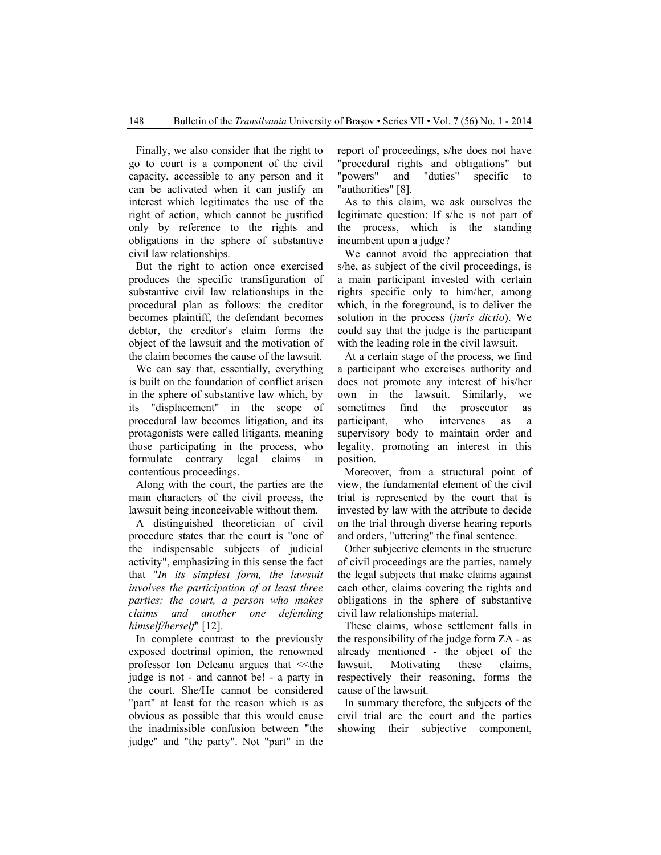Finally, we also consider that the right to go to court is a component of the civil capacity, accessible to any person and it can be activated when it can justify an interest which legitimates the use of the right of action, which cannot be justified only by reference to the rights and obligations in the sphere of substantive civil law relationships.

But the right to action once exercised produces the specific transfiguration of substantive civil law relationships in the procedural plan as follows: the creditor becomes plaintiff, the defendant becomes debtor, the creditor's claim forms the object of the lawsuit and the motivation of the claim becomes the cause of the lawsuit.

We can say that, essentially, everything is built on the foundation of conflict arisen in the sphere of substantive law which, by its "displacement" in the scope of procedural law becomes litigation, and its protagonists were called litigants, meaning those participating in the process, who formulate contrary legal claims in contentious proceedings.

Along with the court, the parties are the main characters of the civil process, the lawsuit being inconceivable without them.

A distinguished theoretician of civil procedure states that the court is "one of the indispensable subjects of judicial activity", emphasizing in this sense the fact that "*In its simplest form, the lawsuit involves the participation of at least three parties: the court, a person who makes claims and another one defending himself/herself*" [12].

In complete contrast to the previously exposed doctrinal opinion, the renowned professor Ion Deleanu argues that <<the judge is not - and cannot be! - a party in the court. She/He cannot be considered "part" at least for the reason which is as obvious as possible that this would cause the inadmissible confusion between "the judge" and "the party". Not "part" in the report of proceedings, s/he does not have "procedural rights and obligations" but "powers" and "duties" specific to "authorities" [8].

As to this claim, we ask ourselves the legitimate question: If s/he is not part of the process, which is the standing incumbent upon a judge?

We cannot avoid the appreciation that s/he, as subject of the civil proceedings, is a main participant invested with certain rights specific only to him/her, among which, in the foreground, is to deliver the solution in the process (*juris dictio*). We could say that the judge is the participant with the leading role in the civil lawsuit.

At a certain stage of the process, we find a participant who exercises authority and does not promote any interest of his/her own in the lawsuit. Similarly, we sometimes find the prosecutor as participant, who intervenes as a supervisory body to maintain order and legality, promoting an interest in this position.

Moreover, from a structural point of view, the fundamental element of the civil trial is represented by the court that is invested by law with the attribute to decide on the trial through diverse hearing reports and orders, "uttering" the final sentence.

Other subjective elements in the structure of civil proceedings are the parties, namely the legal subjects that make claims against each other, claims covering the rights and obligations in the sphere of substantive civil law relationships material.

These claims, whose settlement falls in the responsibility of the judge form ZA - as already mentioned - the object of the lawsuit. Motivating these claims, respectively their reasoning, forms the cause of the lawsuit.

In summary therefore, the subjects of the civil trial are the court and the parties showing their subjective component,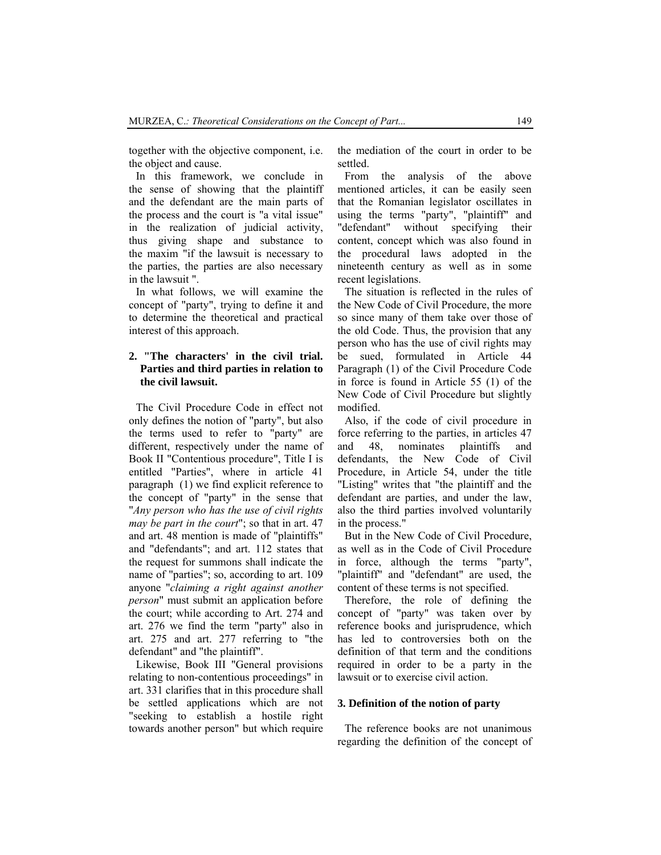together with the objective component, i.e. the object and cause.

In this framework, we conclude in the sense of showing that the plaintiff and the defendant are the main parts of the process and the court is "a vital issue" in the realization of judicial activity, thus giving shape and substance to the maxim "if the lawsuit is necessary to the parties, the parties are also necessary in the lawsuit ".

In what follows, we will examine the concept of "party", trying to define it and to determine the theoretical and practical interest of this approach.

# **2. "The characters' in the civil trial. Parties and third parties in relation to the civil lawsuit.**

The Civil Procedure Code in effect not only defines the notion of "party", but also the terms used to refer to "party" are different, respectively under the name of Book II "Contentious procedure", Title I is entitled "Parties", where in article 41 paragraph (1) we find explicit reference to the concept of "party" in the sense that "*Any person who has the use of civil rights may be part in the court*"; so that in art. 47 and art. 48 mention is made of "plaintiffs" and "defendants"; and art. 112 states that the request for summons shall indicate the name of "parties"; so, according to art. 109 anyone "*claiming a right against another person*" must submit an application before the court; while according to Art. 274 and art. 276 we find the term "party" also in art. 275 and art. 277 referring to "the defendant" and "the plaintiff".

Likewise, Book III "General provisions relating to non-contentious proceedings" in art. 331 clarifies that in this procedure shall be settled applications which are not "seeking to establish a hostile right towards another person" but which require the mediation of the court in order to be settled.

From the analysis of the above mentioned articles, it can be easily seen that the Romanian legislator oscillates in using the terms "party", "plaintiff" and "defendant" without specifying their content, concept which was also found in the procedural laws adopted in the nineteenth century as well as in some recent legislations.

The situation is reflected in the rules of the New Code of Civil Procedure, the more so since many of them take over those of the old Code. Thus, the provision that any person who has the use of civil rights may be sued, formulated in Article 44 Paragraph (1) of the Civil Procedure Code in force is found in Article 55 (1) of the New Code of Civil Procedure but slightly modified.

Also, if the code of civil procedure in force referring to the parties, in articles 47 and 48, nominates plaintiffs and defendants, the New Code of Civil Procedure, in Article 54, under the title "Listing" writes that "the plaintiff and the defendant are parties, and under the law, also the third parties involved voluntarily in the process."

But in the New Code of Civil Procedure, as well as in the Code of Civil Procedure in force, although the terms "party", "plaintiff" and "defendant" are used, the content of these terms is not specified.

Therefore, the role of defining the concept of "party" was taken over by reference books and jurisprudence, which has led to controversies both on the definition of that term and the conditions required in order to be a party in the lawsuit or to exercise civil action.

#### **3. Definition of the notion of party**

The reference books are not unanimous regarding the definition of the concept of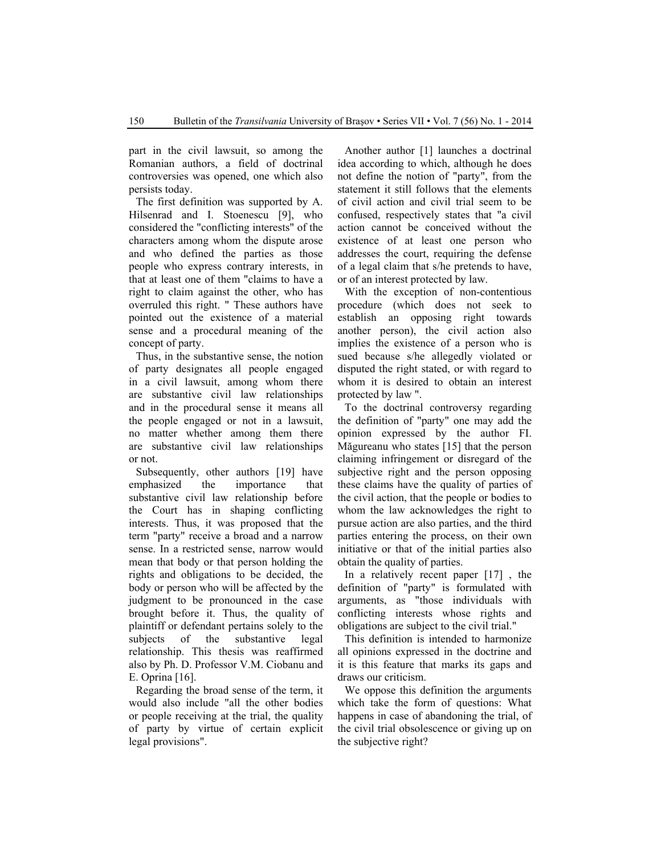part in the civil lawsuit, so among the Romanian authors, a field of doctrinal controversies was opened, one which also persists today.

The first definition was supported by A. Hilsenrad and I. Stoenescu [9], who considered the "conflicting interests" of the characters among whom the dispute arose and who defined the parties as those people who express contrary interests, in that at least one of them "claims to have a right to claim against the other, who has overruled this right. " These authors have pointed out the existence of a material sense and a procedural meaning of the concept of party.

Thus, in the substantive sense, the notion of party designates all people engaged in a civil lawsuit, among whom there are substantive civil law relationships and in the procedural sense it means all the people engaged or not in a lawsuit, no matter whether among them there are substantive civil law relationships or not.

Subsequently, other authors [19] have emphasized the importance that substantive civil law relationship before the Court has in shaping conflicting interests. Thus, it was proposed that the term "party" receive a broad and a narrow sense. In a restricted sense, narrow would mean that body or that person holding the rights and obligations to be decided, the body or person who will be affected by the judgment to be pronounced in the case brought before it. Thus, the quality of plaintiff or defendant pertains solely to the subjects of the substantive legal relationship. This thesis was reaffirmed also by Ph. D. Professor V.M. Ciobanu and E. Oprina [16].

Regarding the broad sense of the term, it would also include "all the other bodies or people receiving at the trial, the quality of party by virtue of certain explicit legal provisions".

Another author [1] launches a doctrinal idea according to which, although he does not define the notion of "party", from the statement it still follows that the elements of civil action and civil trial seem to be confused, respectively states that "a civil action cannot be conceived without the existence of at least one person who addresses the court, requiring the defense of a legal claim that s/he pretends to have, or of an interest protected by law.

With the exception of non-contentious procedure (which does not seek to establish an opposing right towards another person), the civil action also implies the existence of a person who is sued because s/he allegedly violated or disputed the right stated, or with regard to whom it is desired to obtain an interest protected by law ".

To the doctrinal controversy regarding the definition of "party" one may add the opinion expressed by the author FI. Măgureanu who states [15] that the person claiming infringement or disregard of the subjective right and the person opposing these claims have the quality of parties of the civil action, that the people or bodies to whom the law acknowledges the right to pursue action are also parties, and the third parties entering the process, on their own initiative or that of the initial parties also obtain the quality of parties.

In a relatively recent paper [17] , the definition of "party" is formulated with arguments, as "those individuals with conflicting interests whose rights and obligations are subject to the civil trial."

This definition is intended to harmonize all opinions expressed in the doctrine and it is this feature that marks its gaps and draws our criticism.

We oppose this definition the arguments which take the form of questions: What happens in case of abandoning the trial, of the civil trial obsolescence or giving up on the subjective right?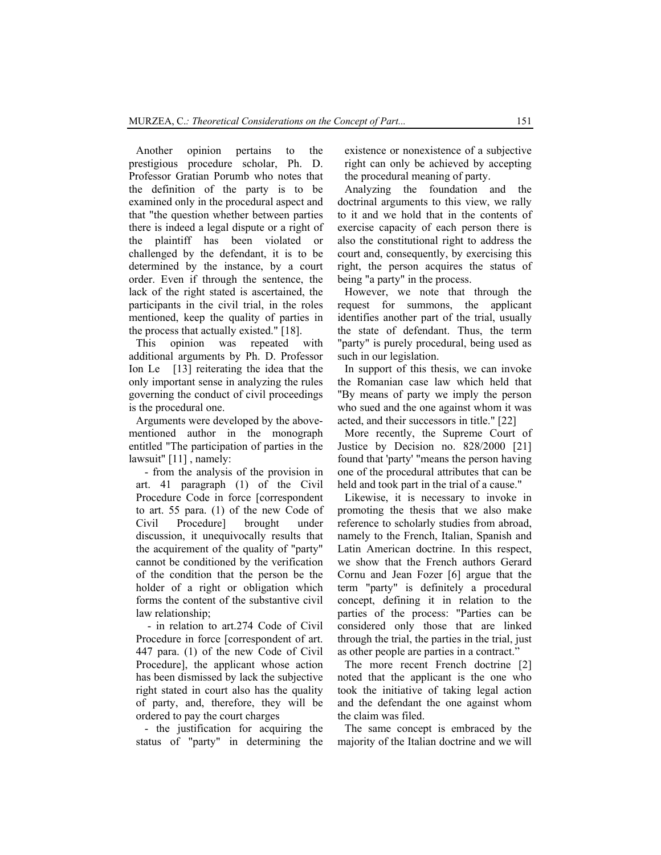Another opinion pertains to the prestigious procedure scholar, Ph. D. Professor Gratian Porumb who notes that the definition of the party is to be examined only in the procedural aspect and that "the question whether between parties there is indeed a legal dispute or a right of the plaintiff has been violated or challenged by the defendant, it is to be determined by the instance, by a court order. Even if through the sentence, the lack of the right stated is ascertained, the participants in the civil trial, in the roles mentioned, keep the quality of parties in the process that actually existed." [18].

This opinion was repeated with additional arguments by Ph. D. Professor Ion Le [13] reiterating the idea that the only important sense in analyzing the rules governing the conduct of civil proceedings is the procedural one.

Arguments were developed by the abovementioned author in the monograph entitled "The participation of parties in the lawsuit" [11], namely:

- from the analysis of the provision in art. 41 paragraph (1) of the Civil Procedure Code in force [correspondent to art. 55 para. (1) of the new Code of Civil Procedure] brought under discussion, it unequivocally results that the acquirement of the quality of "party" cannot be conditioned by the verification of the condition that the person be the holder of a right or obligation which forms the content of the substantive civil law relationship;

 - in relation to art.274 Code of Civil Procedure in force [correspondent of art. 447 para. (1) of the new Code of Civil Procedure], the applicant whose action has been dismissed by lack the subjective right stated in court also has the quality of party, and, therefore, they will be ordered to pay the court charges

- the justification for acquiring the status of "party" in determining the existence or nonexistence of a subjective right can only be achieved by accepting the procedural meaning of party.

Analyzing the foundation and the doctrinal arguments to this view, we rally to it and we hold that in the contents of exercise capacity of each person there is also the constitutional right to address the court and, consequently, by exercising this right, the person acquires the status of being "a party" in the process.

However, we note that through the request for summons, the applicant identifies another part of the trial, usually the state of defendant. Thus, the term "party" is purely procedural, being used as such in our legislation.

In support of this thesis, we can invoke the Romanian case law which held that "By means of party we imply the person who sued and the one against whom it was acted, and their successors in title." [22]

More recently, the Supreme Court of Justice by Decision no. 828/2000 [21] found that 'party' "means the person having one of the procedural attributes that can be held and took part in the trial of a cause."

Likewise, it is necessary to invoke in promoting the thesis that we also make reference to scholarly studies from abroad, namely to the French, Italian, Spanish and Latin American doctrine. In this respect, we show that the French authors Gerard Cornu and Jean Fozer [6] argue that the term "party" is definitely a procedural concept, defining it in relation to the parties of the process: "Parties can be considered only those that are linked through the trial, the parties in the trial, just as other people are parties in a contract."

The more recent French doctrine [2] noted that the applicant is the one who took the initiative of taking legal action and the defendant the one against whom the claim was filed.

The same concept is embraced by the majority of the Italian doctrine and we will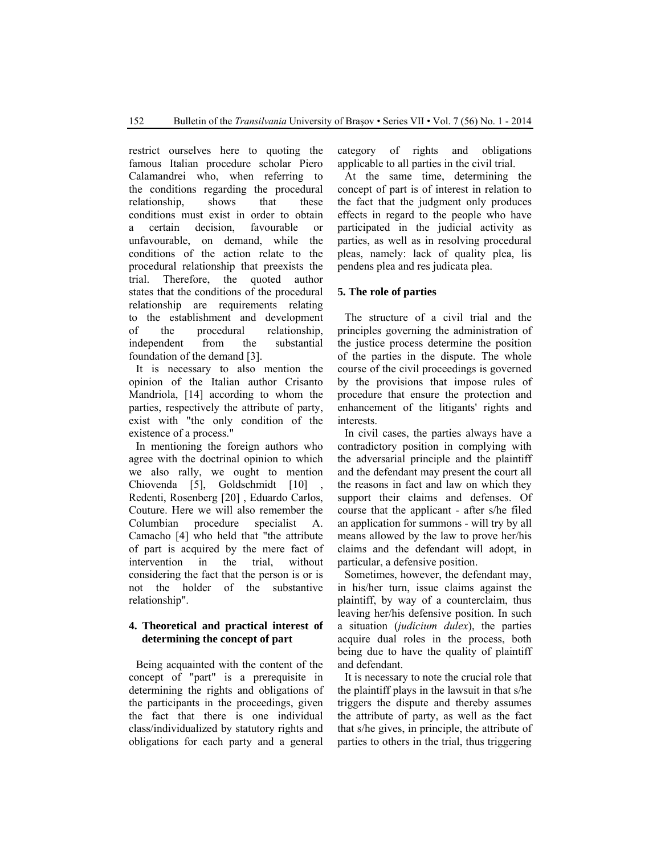restrict ourselves here to quoting the famous Italian procedure scholar Piero Calamandrei who, when referring to the conditions regarding the procedural relationship, shows that these conditions must exist in order to obtain a certain decision, favourable or unfavourable, on demand, while the conditions of the action relate to the procedural relationship that preexists the trial. Therefore, the quoted author states that the conditions of the procedural relationship are requirements relating to the establishment and development of the procedural relationship, independent from the substantial foundation of the demand [3].

It is necessary to also mention the opinion of the Italian author Crisanto Mandriola, [14] according to whom the parties, respectively the attribute of party, exist with "the only condition of the existence of a process."

In mentioning the foreign authors who agree with the doctrinal opinion to which we also rally, we ought to mention Chiovenda [5], Goldschmidt [10] Redenti, Rosenberg [20] , Eduardo Carlos, Couture. Here we will also remember the Columbian procedure specialist A. Camacho [4] who held that "the attribute of part is acquired by the mere fact of intervention in the trial, without considering the fact that the person is or is not the holder of the substantive relationship".

# **4. Theoretical and practical interest of determining the concept of part**

Being acquainted with the content of the concept of "part" is a prerequisite in determining the rights and obligations of the participants in the proceedings, given the fact that there is one individual class/individualized by statutory rights and obligations for each party and a general category of rights and obligations applicable to all parties in the civil trial.

At the same time, determining the concept of part is of interest in relation to the fact that the judgment only produces effects in regard to the people who have participated in the judicial activity as parties, as well as in resolving procedural pleas, namely: lack of quality plea, lis pendens plea and res judicata plea.

### **5. The role of parties**

The structure of a civil trial and the principles governing the administration of the justice process determine the position of the parties in the dispute. The whole course of the civil proceedings is governed by the provisions that impose rules of procedure that ensure the protection and enhancement of the litigants' rights and interests.

In civil cases, the parties always have a contradictory position in complying with the adversarial principle and the plaintiff and the defendant may present the court all the reasons in fact and law on which they support their claims and defenses. Of course that the applicant - after s/he filed an application for summons - will try by all means allowed by the law to prove her/his claims and the defendant will adopt, in particular, a defensive position.

Sometimes, however, the defendant may, in his/her turn, issue claims against the plaintiff, by way of a counterclaim, thus leaving her/his defensive position. In such a situation (*judicium dulex*), the parties acquire dual roles in the process, both being due to have the quality of plaintiff and defendant.

It is necessary to note the crucial role that the plaintiff plays in the lawsuit in that s/he triggers the dispute and thereby assumes the attribute of party, as well as the fact that s/he gives, in principle, the attribute of parties to others in the trial, thus triggering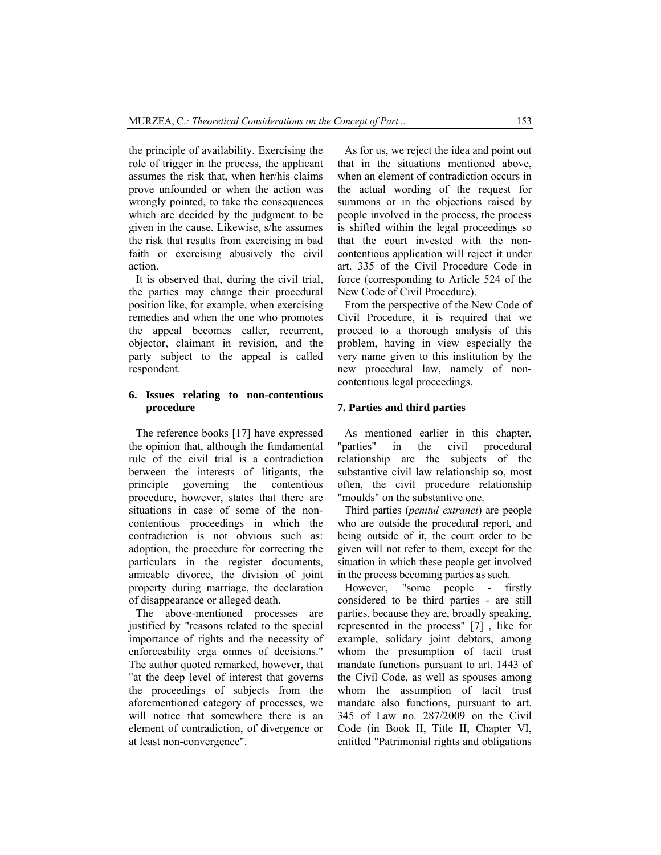the principle of availability. Exercising the role of trigger in the process, the applicant assumes the risk that, when her/his claims prove unfounded or when the action was wrongly pointed, to take the consequences which are decided by the judgment to be given in the cause. Likewise, s/he assumes the risk that results from exercising in bad faith or exercising abusively the civil action.

It is observed that, during the civil trial, the parties may change their procedural position like, for example, when exercising remedies and when the one who promotes the appeal becomes caller, recurrent, objector, claimant in revision, and the party subject to the appeal is called respondent.

### **6. Issues relating to non-contentious procedure**

The reference books [17] have expressed the opinion that, although the fundamental rule of the civil trial is a contradiction between the interests of litigants, the principle governing the contentious procedure, however, states that there are situations in case of some of the noncontentious proceedings in which the contradiction is not obvious such as: adoption, the procedure for correcting the particulars in the register documents, amicable divorce, the division of joint property during marriage, the declaration of disappearance or alleged death.

The above-mentioned processes are justified by "reasons related to the special importance of rights and the necessity of enforceability erga omnes of decisions." The author quoted remarked, however, that "at the deep level of interest that governs the proceedings of subjects from the aforementioned category of processes, we will notice that somewhere there is an element of contradiction, of divergence or at least non-convergence".

As for us, we reject the idea and point out that in the situations mentioned above, when an element of contradiction occurs in the actual wording of the request for summons or in the objections raised by people involved in the process, the process is shifted within the legal proceedings so that the court invested with the noncontentious application will reject it under art. 335 of the Civil Procedure Code in force (corresponding to Article 524 of the New Code of Civil Procedure).

From the perspective of the New Code of Civil Procedure, it is required that we proceed to a thorough analysis of this problem, having in view especially the very name given to this institution by the new procedural law, namely of noncontentious legal proceedings.

#### **7. Parties and third parties**

As mentioned earlier in this chapter, "parties" in the civil procedural relationship are the subjects of the substantive civil law relationship so, most often, the civil procedure relationship "moulds" on the substantive one.

Third parties (*penitul extranei*) are people who are outside the procedural report, and being outside of it, the court order to be given will not refer to them, except for the situation in which these people get involved in the process becoming parties as such.

However, "some people - firstly considered to be third parties - are still parties, because they are, broadly speaking, represented in the process" [7] , like for example, solidary joint debtors, among whom the presumption of tacit trust mandate functions pursuant to art. 1443 of the Civil Code, as well as spouses among whom the assumption of tacit trust mandate also functions, pursuant to art. 345 of Law no. 287/2009 on the Civil Code (in Book II, Title II, Chapter VI, entitled "Patrimonial rights and obligations